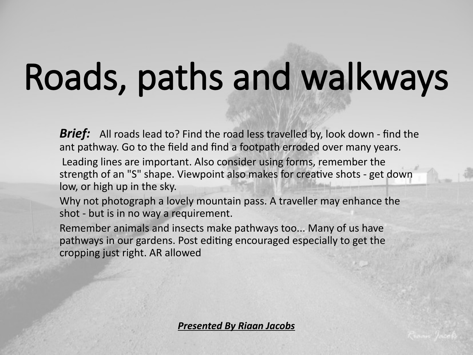## Roads, paths and walkways

**Brief:** All roads lead to? Find the road less travelled by, look down - find the ant pathway. Go to the field and find a footpath erroded over many years.

Leading lines are important. Also consider using forms, remember the strength of an "S" shape. Viewpoint also makes for creative shots - get down low, or high up in the sky.

Why not photograph a lovely mountain pass. A traveller may enhance the shot - but is in no way a requirement.

Remember animals and insects make pathways too... Many of us have pathways in our gardens. Post editing encouraged especially to get the cropping just right. AR allowed

*Presented By Riaan Jacobs*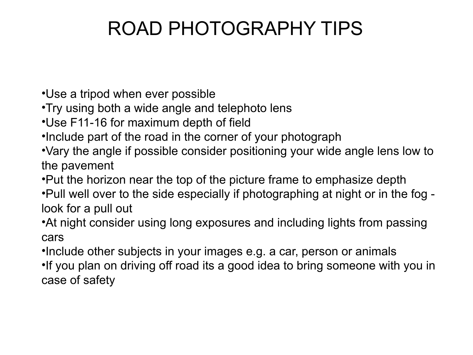## ROAD PHOTOGRAPHY TIPS

•Use a tripod when ever possible

•Try using both a wide angle and telephoto lens

•Use F11-16 for maximum depth of field

•Include part of the road in the corner of your photograph

•Vary the angle if possible consider positioning your wide angle lens low to the pavement

•Put the horizon near the top of the picture frame to emphasize depth

•Pull well over to the side especially if photographing at night or in the fog look for a pull out

•At night consider using long exposures and including lights from passing cars

•Include other subjects in your images e.g. a car, person or animals •If you plan on driving off road its a good idea to bring someone with you in case of safety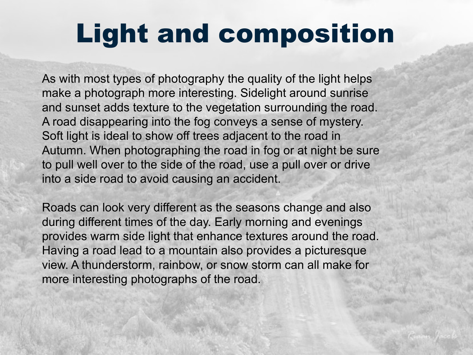## Light and composition

As with most types of photography the quality of the light helps make a photograph more interesting. Sidelight around sunrise and sunset adds texture to the vegetation surrounding the road. A road disappearing into the fog conveys a sense of mystery. Soft light is ideal to show off trees adjacent to the road in Autumn. When photographing the road in fog or at night be sure to pull well over to the side of the road, use a pull over or drive into a side road to avoid causing an accident.

Roads can look very different as the seasons change and also during different times of the day. Early morning and evenings provides warm side light that enhance textures around the road. Having a road lead to a mountain also provides a picturesque view. A thunderstorm, rainbow, or snow storm can all make for more interesting photographs of the road.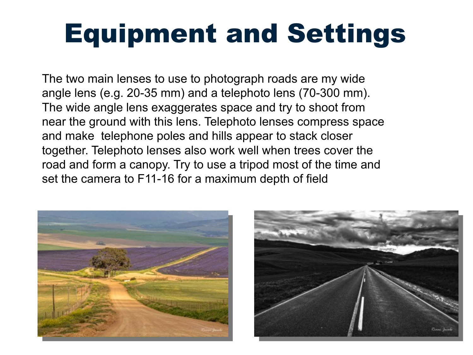## Equipment and Settings

The two main lenses to use to photograph roads are my wide angle lens (e.g. 20-35 mm) and a telephoto lens (70-300 mm). The wide angle lens exaggerates space and try to shoot from near the ground with this lens. Telephoto lenses compress space and make telephone poles and hills appear to stack closer together. Telephoto lenses also work well when trees cover the road and form a canopy. Try to use a tripod most of the time and set the camera to F11-16 for a maximum depth of field



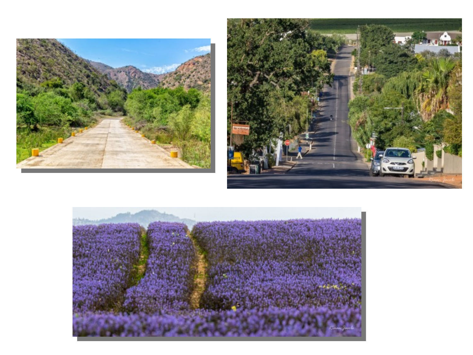



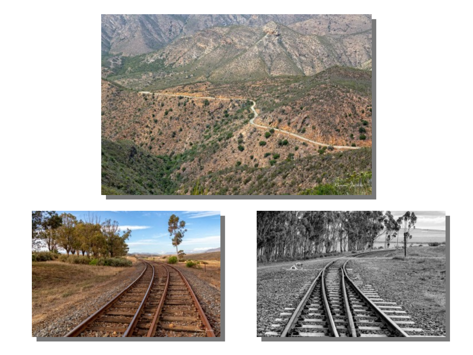



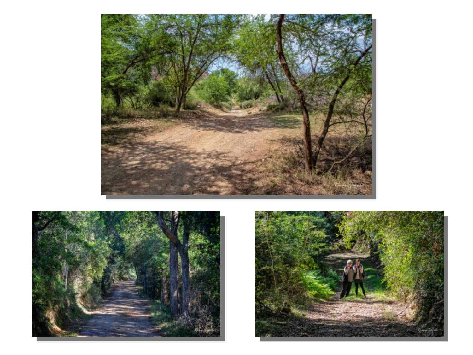